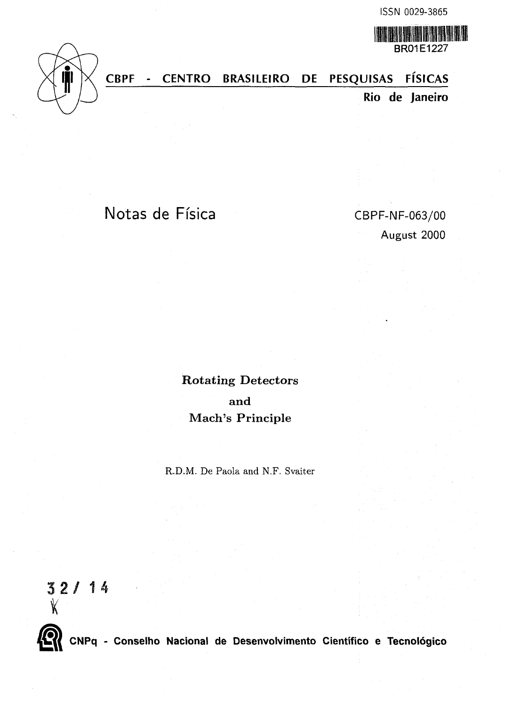BRO1E1227

WANA

# **CBPF - CENTRO BRASILEIRO PE PESQUISAS FISICAS**

**Rio de Janeiro**

# Notas de Física CBPF-NF-063/00

August 2000

Rotating Detectors and Mach's Principle

R.D.M. De Paola and N.F. Svaiter

 $32 / 14$ <br>  $X$ 



**CNPq - Conselho Nacional de Desenvolvimento Cientifico e Tecnologico**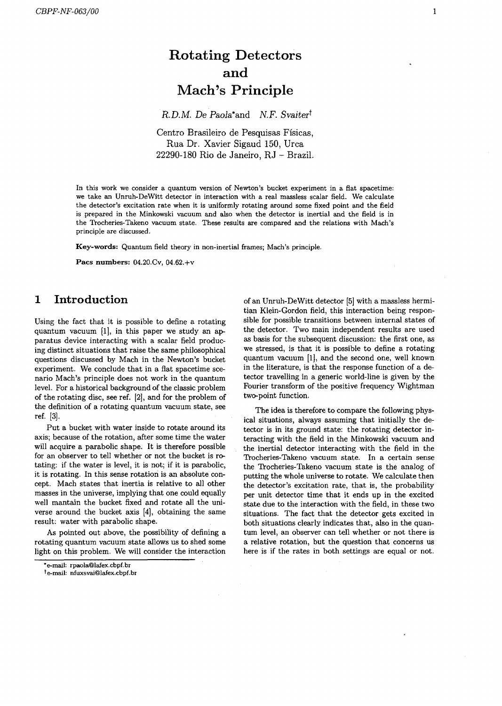# Rotating Detectors and Mach's Principle

*R. D.M. De Paola*<sup>\*</sup>and *N.F. Svaiter*<sup>†</sup>

Centro Brasileiro de Pesquisas Fisicas, Rua Dr. Xavier Sigaud 150, Urea 22290-180 Rio de Janeiro, RJ - Brazil.

In this work we consider a quantum version of Newton's bucket experiment in a flat spacetime: we take an Unruh-DeWitt detector in interaction with a real massless scalar field. We calculate the detector's excitation rate when it is uniformly rotating around some fixed point and the field is prepared in the Minkowski vacuum and also when the detector is inertial and the field is in the Trocheries-Takeno vacuum state. These results are compared and the relations with Mach's principle are discussed.

**Key-words:** Quantum field theory in non-inertial frames; Mach's principle.

**Pacs numbers:** 04.20.Cv, 04.62,+v

## 1 Introduction

Using the fact that it is possible to define a rotating quantum vacuum [1], in this paper we study an apparatus device interacting with a scalar field producing distinct situations that raise the same philosophical questions discussed by Mach in the Newton's bucket experiment. We conclude that in a fiat spacetime scenario Mach's principle does not work in the quantum level. For a historical background of the classic problem of the rotating disc, see ref. [2], and for the problem of the definition of a rotating quantum vacuum state, see ref. [3].

Put a bucket with water inside to rotate around its axis; because of the rotation, after some time the water will acquire a parabolic shape. It is therefore possible for an observer to tell whether or not the bucket is rotating: if the water is level, it is not; if it is parabolic, it is rotating. In this sense rotation is an absolute concept. Mach states that inertia is relative to all other masses in the universe, implying that one could equally well mantain the bucket fixed and rotate all the universe around the bucket axis [4], obtaining the same result: water with parabolic shape.

As pointed out above, the possibility of defining a rotating quantum vacuum state allows us to shed some light on this problem. We will consider the interaction

te-mail: nfuxsvai@lafex.cbpf.br

of an Unruh-DeWitt detector [5] with a massless hermitian Klein-Gordon field, this interaction being responsible for possible transitions between internal states of the detector. Two main independent results are used as basis for the subsequent discussion: the first one, as we stressed, is that it is possible to define a rotating quantum vacuum [1], and the second one, well known in the literature, is that the response function of a detector travelling in a generic world-line is given by the Fourier transform of the positive frequency Wightman two-point function.

The idea is therefore to compare the following physical situations, always assuming that initially the detector is in its ground state: the rotating detector interacting with the field in the Minkowski vacuum and the inertial detector interacting with the field in the Trocheries-Takeno vacuum state. In a certain sense the Trocheries-Takeno vacuum state is the analog of putting the whole universe to rotate. We calculate then the detector's excitation rate, that is, the probability per unit detector time that it ends up in the excited state due to the interaction with the field, in these two situations. The fact that the detector gets excited in both situations clearly indicates that, also in the quantum level, an observer can tell whether or not there is a relative rotation, but the question that concerns us here is if the rates in both settings are equal or not.

<sup>\*</sup>e-mail: rpaola@lafex.cbpf.br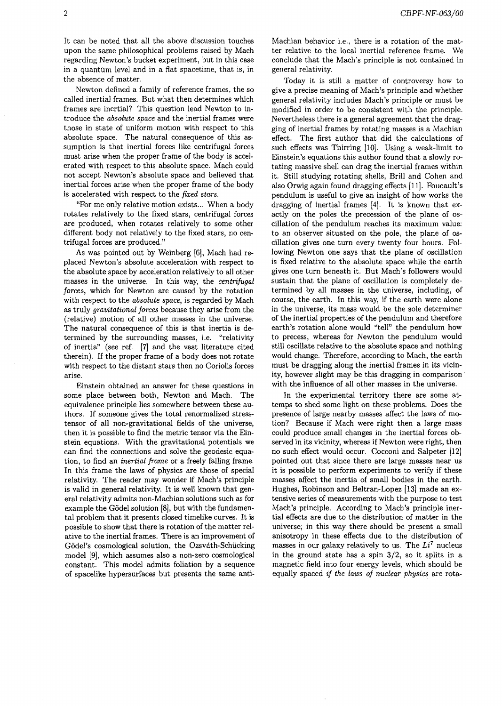It can be noted that all the above discussion touches upon the same philosophical problems raised by Mach regarding Newton's bucket experiment, but in this case in a quantum level and in a flat spacetime, that is, in the absence of matter.

Newton defined a family of reference frames, the so called inertial frames. But what then determines which frames are inertial? This question lead Newton to introduce the *absolute space* and the inertial frames were those in state of uniform motion with respect to this absolute space. The natural consequence of this assumption is that inertial forces like centrifugal forces must arise when the proper frame of the body is accelerated with respect to this absolute space. Mach could not accept Newton's absolute space and believed that inertial forces arise when the proper frame of the body is accelerated with respect to the *fixed stars.*

"For me only relative motion exists... When a body rotates relatively to the fixed stars, centrifugal forces are produced, when rotates relatively to some other different body not relatively to the fixed stars, no centrifugal forces are produced."

As was pointed out by Weinberg [6], Mach had replaced Newton's absolute acceleration with respect to the absolute space by acceleration relatively to all other masses in the universe. In this way, the *centrifugal forces,* which for Newton are caused by the rotation with respect to the *absolute space,* is regarded by Mach as truly *gravitational forces* because they arise from the (relative) motion of all other masses in the universe. The natural consequence of this is that inertia is determined by the surrounding masses, i.e. "relativity of inertia" (see ref. [7] and the vast literature cited therein). If the proper frame of a body does not rotate with respect to the distant stars then no Coriolis forces arise.

Einstein obtained an answer for these questions in some place between both, Newton and Mach. The equivalence principle lies somewhere between these authors. If someone gives the total renormalized stresstensor of all non-gravitational fields of the universe, then it is possible to find the metric tensor via the Einstein equations. With the gravitational potentials we can find the connections and solve the geodesic equation, to find an *inertial frame* or a freely falling frame. In this frame the laws of physics are those of special relativity. The reader may wonder if Mach's principle is valid in general relativity. It is well known that general relativity admits non-Machian solutions such as for example the G6del solution [8], but with the fundamental problem that it presents closed timelike curves. It is possible to show that there is rotation of the matter relative to the inertial frames. There is an improvement of Gödel's cosmological solution, the Ozsváth-Schücking model [9], which assumes also a non-zero cosmological constant. This model admits foliation by a sequence of spacelike hypersurfaces but presents the same antiMachian behavior i.e., there is a rotation of the matter relative to the local inertial reference frame. We conclude that the Mach's principle is not contained in general relativity.

Today it is still a matter of controversy how to give a precise meaning of Mach's principle and whether general relativity includes Mach's principle or must be modified in order to be consistent with the principle. Nevertheless there is a general agreement that the dragging of inertial frames by rotating masses is a Machian effect. The first author that did the calculations of such effects was Thirring [10]. Using a weak-limit to Einstein's equations this author found that a slowly rotating massive shell can drag the inertial frames within it. Still studying rotating shells, Brill and Cohen and also Orwig again found dragging effects [11]. Foucault's pendulum is useful to give an insight of how works the dragging of inertial frames [4]. It is known that exactly on the poles the precession of the plane of oscillation of the pendulum reaches its maximum value: to an observer situated on the pole, the plane of oscillation gives one turn every twenty four hours. Following Newton one says that the plane of oscillation is fixed relative to the absolute space while the earth gives one turn beneath it. But Mach's followers would sustain that the plane of oscillation is completely determined by all masses in the universe, including, of course, the earth. In this way, if the earth were alone in the universe, its mass would be the sole determiner of the inertial properties of the pendulum and therefore earth's rotation alone would "tell" the pendulum how to precess, whereas for Newton the pendulum would still oscillate relative to the absolute space and nothing would change. Therefore, according to Mach, the earth must be dragging along the inertial frames in its vicinity, however slight may be this dragging in comparison with the influence of all other masses in the universe.

In the experimental territory there are some attemps to shed some light on these problems. Does the presence of large nearby masses affect the laws of motion? Because if Mach were right then a large mass could produce small changes in the inertial forces observed in its vicinity, whereas if Newton were right, then no such effect would occur. Cocconi and Salpeter [12] pointed out that since there are large masses near us it is possible to perform experiments to verify if these masses affect the inertia of small bodies in the earth. Hughes, Robinson and Beltran-Lopez [13] made an extensive series of measurements with the purpose to test Mach's principle. According to Mach's principle inertial effects are due to the distribution of matter in the universe; in this way there should be present a small anisotropy in these effects due to the distribution of masses in our galaxy relatively to us. The  $Li<sup>7</sup>$  nucleus in the ground state has a spin 3/2, so it splits in a magnetic field into four energy levels, which should be equally spaced *if the laws of nuclear physics* are rota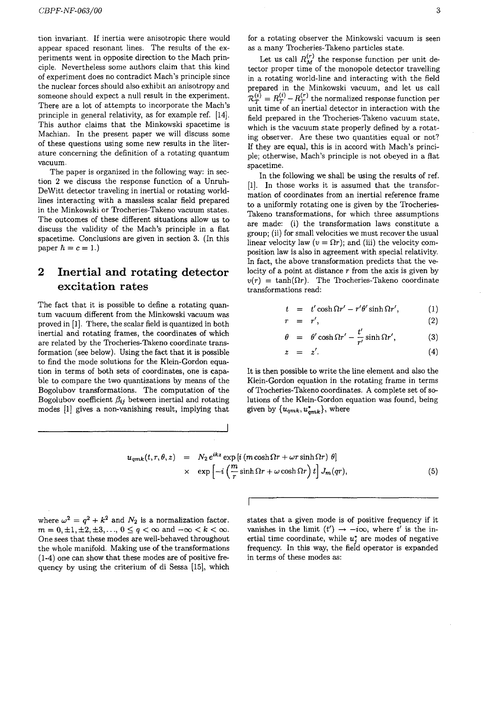tion invariant. If inertia were anisotropic there would appear spaced resonant lines. The results of the experiments went in opposite direction to the Mach principle. Nevertheless some authors claim that this kind of experiment does no contradict Mach's principle since the nuclear forces should also exhibit an anisotropy and someone should expect a null result in the experiment. There are a lot of attempts to incorporate the Mach's principle in general relativity, as for example ref. [14]. This author claims that the Minkowski spacetime is Machian. In the present paper we will discuss some of these questions using some new results in the literature concerning the definition of a rotating quantum vacuum.

The paper is organized in the following way: in section 2 we discuss the response function of a Unruh-DeWitt detector traveling in inertial or rotating worldlines interacting with a massless scalar field prepared in the Minkowski or Trocheries-Takeno vacuum states. The outcomes of these different situations allow us to discuss the validity of the Mach's principle in a flat spacetime. Conclusions are given in section 3. (In this paper  $\hbar = c = 1.$ 

## 2 Inertial and rotating detector excitation rates

The fact that it is possible to define a rotating quantum vacuum different from the Minkowski vacuum was proved in [1]. There, the scalar field is quantized in both inertial and rotating frames, the coordinates of which are related by the Trocheries-Takeno coordinate transformation (see below). Using the fact that it is possible to find the mode solutions for the Klein-Gordon equation in terms of both sets of coordinates, one is capable to compare the two quantizations by means of the Bogolubov transformations. The computation of the Bogolubov coefficient  $\beta_{ij}$  between inertial and rotating modes [1] gives a non-vanishing result, implying that for a rotating observer the Minkowski vacuum is seen as a many Trocheries-Takeno particles state.

Let us call  $R_M^{(r)}$  the response function per unit detector proper time of the monopole detector travelling in a rotating world-line and interacting with the field prepared in the Minkowski vacuum, and let us call  $R_{\mathcal{T}}^{(i)} = R_{\mathcal{T}}^{(i)} - R_{\mathcal{T}}^{(r)}$  the normalized response function per unit time of an inertial detector in interaction with the field prepared in the Trocheries-Takeno vacuum state, which is the vacuum state properly defined by a rotating observer. Are these two quantities equal or not? If they are equal, this is in accord with Mach's principle; otherwise, Mach's principle is not obeyed in a fiat spacetime.

In the following we shall be using the results of ref. [1]. In those works it is assumed that the transformation of coordinates from an inertial reference frame to a uniformly rotating one is given by the Trocheries-Takeno transformations, for which three assumptions are made: (i) the transformation laws constitute a group; (ii) for small velocities we must recover the usual linear velocity law  $(v = \Omega r)$ ; and (iii) the velocity composition law is also in agreement with special relativity. In fact, the above transformation predicts that the velocity of a point at distance  $r$  from the axis is given by  $v(r) = \tanh(\Omega r)$ . The Trocheries-Takeno coordinate transformations read:

$$
t = t' \cosh \Omega r' - r'\theta' \sinh \Omega r', \qquad (1)
$$

$$
r = r', \tag{2}
$$

$$
\theta = \theta' \cosh \Omega r' - \frac{t'}{r'} \sinh \Omega r', \qquad (3)
$$

$$
z = z'. \tag{4}
$$

It is then possible to write the line element and also the Klein-Gordon equation in the rotating frame in terms of Trocheries-Takeno coordinates. A complete set of solutions of the Klein-Gordon equation was found, being given by  $\{u_{qmk}, u_{qmk}^*\}$ , where

$$
u_{qmk}(t, r, \theta, z) = N_2 e^{ikz} \exp[i(m \cosh \Omega r + \omega r \sinh \Omega r) \theta]
$$
  
 
$$
\times \exp\left[-i\left(\frac{m}{r} \sinh \Omega r + \omega \cosh \Omega r\right)t\right] J_m(qr), \qquad (5)
$$

where  $\omega^2 = q^2 + k^2$  and  $N_2$  is a normalization factor.  $m = 0, \pm 1, \pm 2, \pm 3, \ldots, 0 \le q < \infty$  and  $-\infty < k < \infty$ . One sees that these modes are well-behaved throughout the whole manifold. Making use of the transformations (1-4) one can show that these modes are of positive frequency by using the criterium of di Sessa [15], which

states that a given mode is of positive frequency if it vanishes in the limit  $(t') \rightarrow -i\infty$ , where t' is the inertial time coordinate, while *u\** are modes of negative frequency. In this way, the field operator is expanded in terms of these modes as: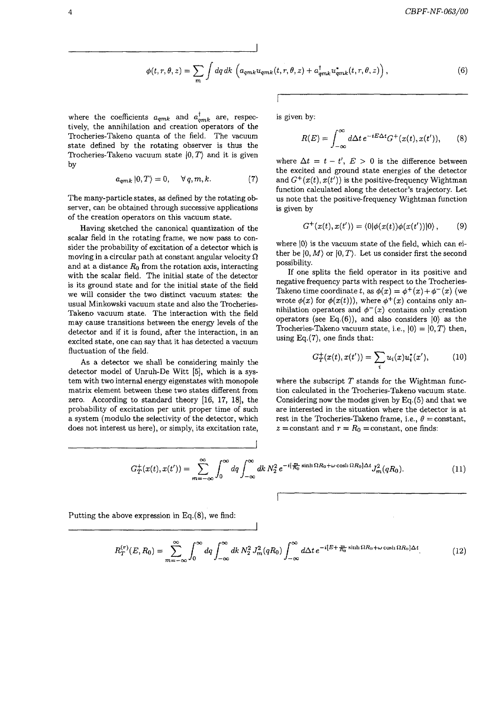$$
\phi(t,r,\theta,z) = \sum_{m} \int dq \, dk \, \left( a_{qmk} u_{qmk}(t,r,\theta,z) + a_{qmk}^{\dagger} u_{qmk}^*(t,r,\theta,z) \right), \tag{6}
$$

where the coefficients  $a_{qmk}$  and  $a_{qmk}^{\dagger}$  are, respectively, the annihilation and creation operators of the Trocheries-Takeno quanta of the field. The vacuum state defined by the rotating observer is thus the Trocheries-Takeno vacuum state  $|0,T\rangle$  and it is given by

$$
a_{qmk} |0,T\rangle = 0, \quad \forall q,m,k.
$$
 (7)

The many-particle states, as defined by the rotating observer, can be obtained through successive applications of the creation operators on this vacuum state.

Having sketched the canonical quantization of the scalar field in the rotating frame, we now pass to consider the probability of excitation of a detector which is moving in a circular path at constant angular velocity *Q* and at a distance  $R_0$  from the rotation axis, interacting with the scalar field. The initial state of the detector is its ground state and for the initial state of the field we will consider the two distinct vacuum states: the usual Minkowski vacuum state and also the Trocheries-Takeno vacuum state. The interaction with the field may cause transitions between the energy levels of the detector and if it is found, after the interaction, in an excited state, one can say that it has detected a vacuum fluctuation of the field.

As a detector we shall be considering mainly the detector model of Unruh-De Witt [5], which is a system with two internal energy eigenstates with monopole matrix element between these two states different from zero. According to standard theory [16, 17, 18], the probability of excitation per unit proper time of such a system (modulo the selectivity of the detector, which does not interest us here), or simply, its excitation rate,

is given by:

$$
R(E) = \int_{-\infty}^{\infty} d\Delta t \, e^{-iE\Delta t} G^{+}(x(t), x(t')), \qquad (8)
$$

where  $\Delta t = t - t'$ ,  $E > 0$  is the difference between the excited and ground state energies of the detector and  $G^+(x(t),x(t'))$  is the positive-frequency Wightman function calculated along the detector's trajectory. Let us note that the positive-frequency Wightman function is given by

$$
G^+(x(t),x(t')) = \langle 0|\phi(x(t))\phi(x(t'))|0\rangle, \qquad (9)
$$

where  $|0\rangle$  is the vacuum state of the field, which can either be  $|0, M\rangle$  or  $|0, T\rangle$ . Let us consider first the second possibility.

If one splits the field operator in its positive and negative frequency parts with respect to the Trocheries-Takeno time coordinate  $t,$  as  $\phi(x) = \phi^+(x) + \phi^-(x)$  (we wrote  $\phi(x)$  for  $\phi(x(t))$ , where  $\phi^+(x)$  contains only annihilation operators and  $\phi^{-}(x)$  contains only creation operators (see Eq.(6)), and also considers  $|0\rangle$  as the Trocheries-Takeno vacuum state, i.e.,  $|0\rangle = |0, T\rangle$  then, using  $Eq.(7)$ , one finds that:

$$
G_T^+(x(t),x(t')) = \sum_i u_i(x)u_i^*(x'), \qquad (10)
$$

where the subscript *T* stands for the Wightman function calculated in the Trocheries-Takeno vacuum state. Considering now the modes given by Eq.(5) and that we are interested in the situation where the detector is at rest in the Trocheries-Takeno frame, i.e.,  $\theta = constant$ ,  $z =$ constant and  $r = R_0 =$ constant, one finds:

$$
G_T^+(x(t),x(t')) = \sum_{m=-\infty}^{\infty} \int_0^{\infty} dq \int_{-\infty}^{\infty} dk \, N_2^2 \, e^{-i\left(\frac{m}{R_0}\sinh\Omega R_0 + \omega\cosh\Omega R_0\right)\Delta t} J_m^2(qR_0). \tag{11}
$$

Putting the above expression in Eq.(8), we find:

$$
R_T^{(r)}(E, R_0) = \sum_{m=-\infty}^{\infty} \int_0^{\infty} dq \int_{-\infty}^{\infty} dk \, N_2^2 \, J_m^2(qR_0) \int_{-\infty}^{\infty} d\Delta t \, e^{-i[E + \frac{m}{R_0} \sinh \Omega R_0 + \omega \cosh \Omega R_0] \Delta t}.\tag{12}
$$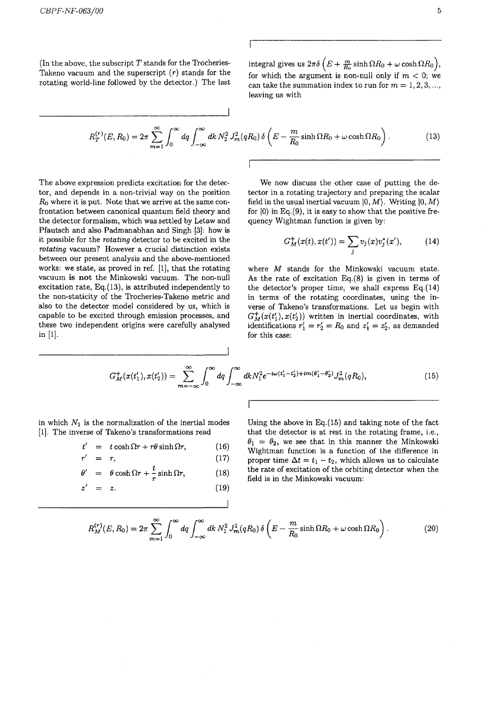(In the above, the subscript *T* stands for the Trocheries-Takeno vacuum and the superscript *(r)* stands for the rotating world-line followed by the detector.) The last integral gives us  $2\pi\delta \left(E+\frac{m}{R_0}\sinh \Omega R_0 + \omega \cosh \Omega R_0 \right)$ , for which the argument is non-null only if  $m < 0$ ; we can take the summation index to run for  $m = 1, 2, 3, \ldots$ , leaving us with

$$
R_T^{(r)}(E, R_0) = 2\pi \sum_{m=1}^{\infty} \int_0^{\infty} dq \int_{-\infty}^{\infty} dk \, N_2^2 \, J_m^2(qR_0) \, \delta\left(E - \frac{m}{R_0} \sinh \Omega R_0 + \omega \cosh \Omega R_0\right). \tag{13}
$$

The above expression predicts excitation for the detector, and depends in a non-trivial way on the position *RQ* where it is put. Note that we arrive at the same confrontation between canonical quantum field theory and the detector formalism, which was settled by Letaw and Pfautsch and also Padmanabhan and Singh [3]: how is it possible for the *rotating* detector to be excited in the *rotating* vacuum? However a crucial distinction exists between our present analysis and the above-mentioned works: we state, as proved in ref. [1], that the rotating vacuum is **not** the Minkowski vacuum. The non-null excitation rate, Eq.(13), is attributed independently to the non-staticity of the Trocheries-Takeno metric and also to the detector model considered by us, which is capable to be excited through emission processes, and these two independent origins were carefully analysed in [1].

We now discuss the other case of putting the detector in a rotating trajectory and preparing the scalar field in the usual inertial vacuum  $|0, M\rangle$ . Writing  $|0, M\rangle$ for  $|0\rangle$  in Eq.(9), it is easy to show that the positive frequency Wightman function is given by:

$$
G_M^+(x(t),x(t')) = \sum_j v_j(x)v_j^*(x'), \qquad (14)
$$

where *M* stands for the Minkowski vacuum state. As the rate of excitation  $Eq.(8)$  is given in terms of the detector's proper time, we shall express  $Eq.(14)$ in terms of the rotating coordinates, using the inverse of Takeno's transformations. Let us begin with  $G_M^+(x(t'_1),x(t'_2))$  written in inertial coordinates, with identifications  $r'_1 = r'_2 = R_0$  and  $z'_1 = z'_2$ , as demanded for this case:

$$
G_M^+(x(t'_1), x(t'_2)) = \sum_{m=-\infty}^{\infty} \int_0^{\infty} dq \int_{-\infty}^{\infty} dk N_1^2 e^{-i\omega(t'_1 - t'_2) + im(\theta'_1 - \theta'_2)} J_m^2(qR_0), \qquad (15)
$$

in which  $N_1$  is the normalization of the inertial modes [1]. The inverse of Takeno's transformations read

$$
t' = t \cosh \Omega r + r\theta \sinh \Omega r, \qquad (16)
$$

$$
r' = r, \t\t(17)
$$

$$
\theta' = \theta \cosh \Omega r + \frac{\iota}{r} \sinh \Omega r, \qquad (18)
$$

$$
z' = z. \t\t(19)
$$

Using the above in Eq.(15) and taking note of the fact that the detector is at rest in the rotating frame, i.e.,  $\theta_1 = \theta_2$ , we see that in this manner the Minkowski Wightman function is a function of the difference in proper time  $\Delta t = t_1 - t_2$ , which allows us to calculate the rate of excitation of the orbiting detector when the field is in the Minkowski vacuum:

$$
R_M^{(r)}(E, R_0) = 2\pi \sum_{m=1}^{\infty} \int_0^{\infty} dq \int_{-\infty}^{\infty} dk \, N_1^2 \, J_m^2(qR_0) \, \delta\left(E - \frac{m}{R_0} \sinh \Omega R_0 + \omega \cosh \Omega R_0\right). \tag{20}
$$

 $\mathbf{I}$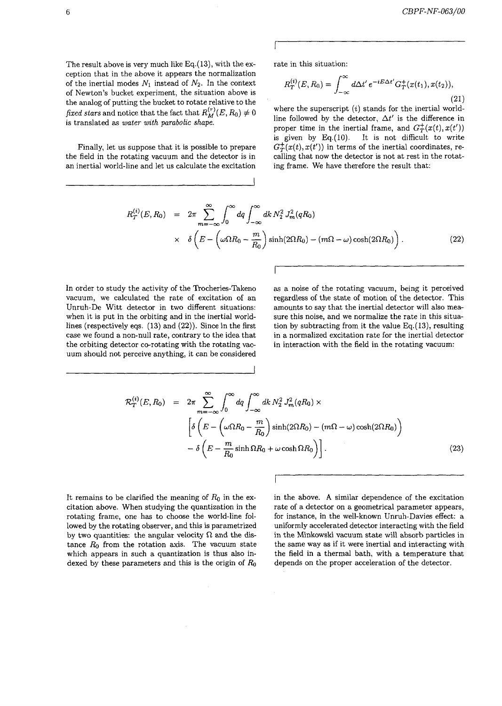The result above is very much like Eq.(13), with the exception that in the above it appears the normalization of the inertial modes  $N_1$  instead of  $N_2$ . In the context of Newton's bucket experiment, the situation above is the analog of putting the bucket to rotate relative to the *fixed stars* and notice that the fact that  $R^{(r)}_M(E, R_0) \neq 0$ is translated as *water with parabolic shape.*

Finally, let us suppose that it is possible to prepare the field in the rotating vacuum and the detector is in an inertial world-line and let us calculate the excitation

rate in this situation:

$$
R_T^{(i)}(E, R_0) = \int_{-\infty}^{\infty} d\Delta t' e^{-iE\Delta t'} G_T^+(x(t_1), x(t_2)),
$$
\n(21)

where the superscript *(i)* stands for the inertial worldline followed by the detector,  $\Delta t'$  is the difference in proper time in the inertial frame, and  $G_T^+(x(t),x(t'))$ is given by Eq. $(10)$ . It is not difficult to write  $G^{+}_{T}(x(t),x(t'))$  in terms of the inertial coordinates, recalling that now the detector is not at rest in the rotating frame. We have therefore the result that:

$$
R_T^{(i)}(E, R_0) = 2\pi \sum_{m=-\infty}^{\infty} \int_0^{\infty} dq \int_{-\infty}^{\infty} dk \, N_2^2 J_m^2(qR_0)
$$
  
 
$$
\times \delta \left( E - \left( \omega \Omega R_0 - \frac{m}{R_0} \right) \sinh(2\Omega R_0) - (m\Omega - \omega) \cosh(2\Omega R_0) \right). \tag{22}
$$

In order to study the activity of the Trocheries-Takeno vacuum, we calculated the rate of excitation of an Unruh-De Witt detector in two different situations: when it is put in the orbiting and in the inertial worldlines (respectively eqs. (13) and (22)). Since in the first case we found a non-null rate, contrary to the idea that the orbiting detector co-rotating with the rotating vacuum should not perceive anything, it can be considered as a noise of the rotating vacuum, being it perceived regardless of the state of motion of the detector. This amounts to say that the inertial detector will also measure this noise, and we normalize the rate in this situation by subtracting from it the value Eq.(13), resulting in a normalized excitation rate for the inertial detector in interaction with the field in the rotating vacuum:

$$
\mathcal{R}_T^{(i)}(E, R_0) = 2\pi \sum_{m=-\infty}^{\infty} \int_0^{\infty} dq \int_{-\infty}^{\infty} dk \, N_2^2 \, J_m^2(qR_0) \times
$$

$$
\left[ \delta \left( E - \left( \omega \Omega R_0 - \frac{m}{R_0} \right) \sinh(2\Omega R_0) - (m\Omega - \omega) \cosh(2\Omega R_0) \right) - \delta \left( E - \frac{m}{R_0} \sinh \Omega R_0 + \omega \cosh \Omega R_0 \right) \right].
$$
(23)

I

It remains to be clarified the meaning of *RQ* in the excitation above. When studying the quantization in the rotating frame, one has to choose the world-line followed by the rotating observer, and this is parametrized by two quantities: the angular velocity  $\Omega$  and the distance *Ro* from the rotation axis. The vacuum state which appears in such a quantization is thus also indexed by these parameters and this is the origin of *RQ* in the above. A similar dependence of the excitation rate of a detector on a geometrical parameter appears, for instance, in the well-known Unruh-Davies effect: a uniformly accelerated detector interacting with the field in the Minkowski vacuum state will absorb particles in the same way as if it were inertial and interacting with the field in a thermal bath, with a temperature that depends on the proper acceleration of the detector.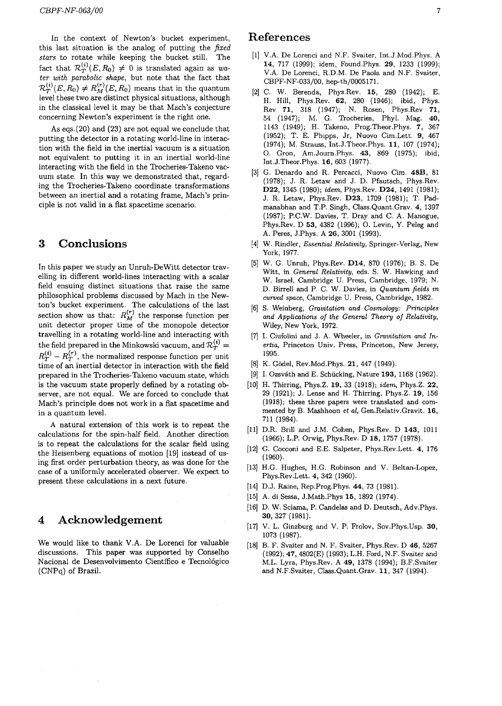In the context of Newton's bucket experiment, this last situation is the analog of putting the *fixed stars* to rotate while keeping the bucket still. The fact that  $\mathcal{R}_T^{(i)}(E, R_0) \neq 0$  is translated again as wa*ter with parabolic shape,* but note that the fact that  $\mathcal{R}_T^{(i)}(E, R_0) \neq R_M^{(r)}(E, R_0)$  means that in the quantum level these two are distinct physical situations, although in the classical level it may be that Mach's conjecture concerning Newton's experiment is the right one.

As eqs.(20) and (23) are not equal we conclude that putting the detector in a rotating world-line in interaction with the field in the inertial vacuum is a situation not equivalent to putting it in an inertial world-line interacting with the field in the Trocheries-Takeno vacuum state. In this way we demonstrated that, regarding the Trocheries-Takeno coordinate transformations between an inertial and a rotating frame, Mach's principle is not valid in a flat spacetime scenario.

#### 3 Conclusions

In this paper we study an Unruh-DeWitt detector travelling in different world-lines interacting with a scalar field ensuing distinct situations that raise the same philosophical problems discussed by Mach in the Newton's bucket experiment. The calculations of the last section show us that:  $R_M^{(r)}$  the response function per unit detector proper time of the monopole detector travelling in a rotating world-line and interacting with the field prepared in the Minkowski vacuum, and  $\mathcal{R}_{T}^{(i)} =$  $R_T^{(i)} - R_T^{(r)}$ , the normalized response function per unit time of an inertial detector in interaction with the field prepared in the Trocheries-Takeno vacuum state, which is the vacuum state properly defined by a rotating observer, are not equal. We are forced to conclude that Mach's principle does not work in a flat spacetime and in a quantum level.

A natural extension of this work is to repeat the calculations for the spin-half field. Another direction is to repeat the calculations for the scalar field using the Heisenberg equations of motion [19] instead of using first order perturbation theory, as was done for the case of a uniformly accelerated observer. We expect to present these calculations in a next future.

### 4 Acknowledgement

We would like to thank V.A. De Lorenci for valuable discussions. This paper was supported by Conselho Nacional de Desenvolvimento Científico e Tecnológico (CNPq) of Brazil.

#### References

- [1] V.A. De Lorenci and N.F. Svaiter, Int.J.Mod.Phys. A **14,** 717 (1999); idem, Found.Phys. **29,** 1233 (1999); V.A. De Lorenci, R.D.M. De Paola and N.F. Svaiter, CBPF-NF-033/00, hep-th/0005171.
- [2] C. W. Berenda, Phys.Rev. 15, 280 (1942); E. H. Hill, Phys.Rev. 62, 280 (1946); ibid, Phys. Rev 71, 318 (1947); N. Rosen, Phys.Rev 71, 54 (1947); M. G. Trocheries, Phyl. Mag. 40, 1143 (1949); H. Takeno, Prog.Theor.Phys. 7, 367 (1952); T. E. Phipps, Jr, Nuovo Cim.Lett. 9, 467 (1974); M. Strauss, Int.J.Theor.Phys. **11,** 107 (1974); O. Gron, Am.Journ.Phys. **43,** 869 (1975); ibid, Int.J.Theor.Phys. 16, 603 (1977).
- [3] G. Denardo and R. Percacci, Nuovo Cim. **48B,** 81 (1978); J. R. Letaw and J. D. Pfautsch, Phys.Rev. **D22,** 1345 (1980); *idem,* Phys.Rev. **D24,** 1491 (1981); J. R. Letaw, Phys.Rev. **D23,** 1709 (1981); T. Padmanabhan and T.P. Singh, Class.Quant.Grav. 4, 1397 (1987); P.C.W. Davies, T. Dray and C. A. Manogue, Phys.Rev. D 53, 4382 (1996); O. Levin, Y. Peleg and A. Peres, J.Phys. A 26, 3001 (1993).
- [4] W. Rindler, *Essential Relativity,* Springer-Verlag, New York, 1977.
- [5] W. G. Unruh, Phys.Rev. **D14,** 870 (1976); B. S. De Witt, in *General Relativity,* eds. S. W. Hawking and W. Israel, Cambridge U. Press, Cambridge, 1979; N. D. Birrell and P. C. W. Davies, in *Quantum fields in curved space,* Cambridge U. Press, Cambridge, 1982.
- [6] S. Weinberg, *Gravitation and Cosmology: Principles and Applications of the General Theory of Relativity,* Wiley, New York, 1972.
- [7] I. Ciufolini and J. A. Wheeler, in *Gravitation and Inertia,* Princeton Univ. Press, Princeton, New Jersey, 1995.
- [8] K. Godel, Rev.Mod.Phys. **21,** 447 (1949).
- [9] I. Ozsvath and E. Schiicking, Nature **193,** 1168 (1962).
- [10] H. Thirring, Phys.Z. **19,** 33 (1918); *idem,* Phys.Z. **22,** 29 (1921); J. Lense and H. Thirring, Phys.Z. **19,** 156 (1918); these three papers were translated and commented by B. Mashhoon *et al,* Gen.Relativ.Gravit. 16, 711 (1984).
- [11] D.R. Brill and J.M. Cohen, Phys.Rev. D **143,** 1011 (1966); L.P. Orwig, Phys.Rev. D 18, 1757 (1978).
- [12] G. Cocconi and E.E. Salpeter, Phys.Rev.Lett. 4, 176 (1960).
- [13] H.G. Hughes, H.G. Robinson and V. Beltan-Lopez, Phys.Rev.Lett. 4, 342 (1960).
- [14] D.J. Raine, Rep.Prog.Phys. **44,** 73 (1981).
- [15] A. di Sessa, J.Math.Phys 15, 1892 (1974).
- [16] D. W. Sciama, P. Candelas and D. Deutsch, Adv.Phys. 30, 327 (1981).
- [17] V. L. Ginzburg and V. P. Frolov, Sov.Phys.Usp. 30, 1073 (1987).
- [18] B. F. Svaiter and N. F. Svaiter, Phys.Rev. D 46, 5267 (1992); 47, 4802(E) (1993); L.H. Ford, N.F. Svaiter and M.L. Lyra, Phys.Rev. A **49,** 1378 (1994); B.F.Svaiter and N.F.Svaiter, Class.Quant.Grav. **11,** 347 (1994).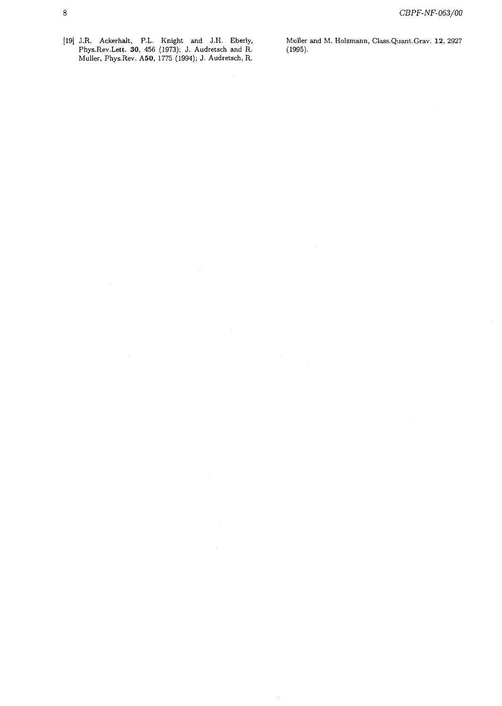[19] J.R. Ackerhalt, P.L. Knight and J.H. Eberly, Muller and M. Holzmann, Class.Quant.Grav. 12, 2927 Phys.Rev.Lett. 30, 456 (1973); J. Audretsch and R. (1995). Muller, Phys.Rev. A50, 1775 (1994); J. Audretsch, R.

 $\hat{\boldsymbol{\beta}}$ 

 $\langle$